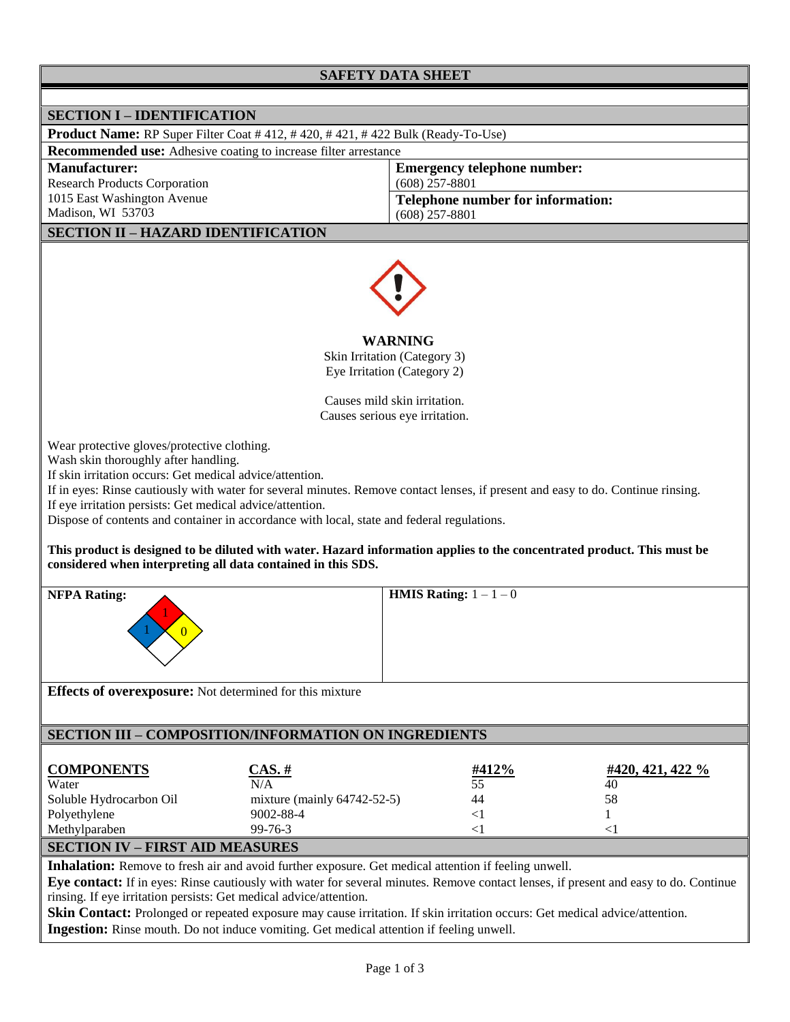# **SAFETY DATA SHEET**

Г

| <b>SECTION I - IDENTIFICATION</b>                                                                                                                                                                                                                                                                                                                                                                                                                                                                                                                                                                                                                                                                                            |                                |                                    |                         |  |  |  |  |
|------------------------------------------------------------------------------------------------------------------------------------------------------------------------------------------------------------------------------------------------------------------------------------------------------------------------------------------------------------------------------------------------------------------------------------------------------------------------------------------------------------------------------------------------------------------------------------------------------------------------------------------------------------------------------------------------------------------------------|--------------------------------|------------------------------------|-------------------------|--|--|--|--|
| Product Name: RP Super Filter Coat #412, #420, #421, #422 Bulk (Ready-To-Use)                                                                                                                                                                                                                                                                                                                                                                                                                                                                                                                                                                                                                                                |                                |                                    |                         |  |  |  |  |
| Recommended use: Adhesive coating to increase filter arrestance                                                                                                                                                                                                                                                                                                                                                                                                                                                                                                                                                                                                                                                              |                                |                                    |                         |  |  |  |  |
| <b>Manufacturer:</b>                                                                                                                                                                                                                                                                                                                                                                                                                                                                                                                                                                                                                                                                                                         |                                |                                    |                         |  |  |  |  |
|                                                                                                                                                                                                                                                                                                                                                                                                                                                                                                                                                                                                                                                                                                                              |                                | <b>Emergency telephone number:</b> |                         |  |  |  |  |
| <b>Research Products Corporation</b>                                                                                                                                                                                                                                                                                                                                                                                                                                                                                                                                                                                                                                                                                         |                                | $(608)$ 257-8801                   |                         |  |  |  |  |
| 1015 East Washington Avenue                                                                                                                                                                                                                                                                                                                                                                                                                                                                                                                                                                                                                                                                                                  |                                | Telephone number for information:  |                         |  |  |  |  |
| Madison, WI 53703                                                                                                                                                                                                                                                                                                                                                                                                                                                                                                                                                                                                                                                                                                            |                                | $(608)$ 257-8801                   |                         |  |  |  |  |
| <b>SECTION II - HAZARD IDENTIFICATION</b>                                                                                                                                                                                                                                                                                                                                                                                                                                                                                                                                                                                                                                                                                    |                                |                                    |                         |  |  |  |  |
| <b>WARNING</b><br>Skin Irritation (Category 3)<br>Eye Irritation (Category 2)<br>Causes mild skin irritation.<br>Causes serious eye irritation.<br>Wear protective gloves/protective clothing.<br>Wash skin thoroughly after handling.<br>If skin irritation occurs: Get medical advice/attention.<br>If in eyes: Rinse cautiously with water for several minutes. Remove contact lenses, if present and easy to do. Continue rinsing.<br>If eye irritation persists: Get medical advice/attention.<br>Dispose of contents and container in accordance with local, state and federal regulations.<br>This product is designed to be diluted with water. Hazard information applies to the concentrated product. This must be |                                |                                    |                         |  |  |  |  |
| considered when interpreting all data contained in this SDS.                                                                                                                                                                                                                                                                                                                                                                                                                                                                                                                                                                                                                                                                 |                                |                                    |                         |  |  |  |  |
| <b>NFPA Rating:</b>                                                                                                                                                                                                                                                                                                                                                                                                                                                                                                                                                                                                                                                                                                          |                                | <b>HMIS Rating:</b> $1 - 1 - 0$    |                         |  |  |  |  |
|                                                                                                                                                                                                                                                                                                                                                                                                                                                                                                                                                                                                                                                                                                                              |                                |                                    |                         |  |  |  |  |
| Effects of overexposure: Not determined for this mixture                                                                                                                                                                                                                                                                                                                                                                                                                                                                                                                                                                                                                                                                     |                                |                                    |                         |  |  |  |  |
|                                                                                                                                                                                                                                                                                                                                                                                                                                                                                                                                                                                                                                                                                                                              |                                |                                    |                         |  |  |  |  |
| SECTION III - COMPOSITION/INFORMATION ON INGREDIENTS                                                                                                                                                                                                                                                                                                                                                                                                                                                                                                                                                                                                                                                                         |                                |                                    |                         |  |  |  |  |
|                                                                                                                                                                                                                                                                                                                                                                                                                                                                                                                                                                                                                                                                                                                              |                                |                                    |                         |  |  |  |  |
| <b>COMPONENTS</b>                                                                                                                                                                                                                                                                                                                                                                                                                                                                                                                                                                                                                                                                                                            | $\overline{\text{CAS. H}}$     | #412%                              | <u>#420, 421, 422 %</u> |  |  |  |  |
| Water                                                                                                                                                                                                                                                                                                                                                                                                                                                                                                                                                                                                                                                                                                                        | N/A                            | 55                                 | 40                      |  |  |  |  |
| Soluble Hydrocarbon Oil                                                                                                                                                                                                                                                                                                                                                                                                                                                                                                                                                                                                                                                                                                      | mixture (mainly $64742-52-5$ ) | 44                                 | 58                      |  |  |  |  |
|                                                                                                                                                                                                                                                                                                                                                                                                                                                                                                                                                                                                                                                                                                                              | 9002-88-4                      |                                    |                         |  |  |  |  |
| Polyethylene                                                                                                                                                                                                                                                                                                                                                                                                                                                                                                                                                                                                                                                                                                                 |                                | $\leq$ 1                           | 1                       |  |  |  |  |
| Methylparaben                                                                                                                                                                                                                                                                                                                                                                                                                                                                                                                                                                                                                                                                                                                | 99-76-3                        | $<$ 1                              | $<$ 1                   |  |  |  |  |
| <b>SECTION IV - FIRST AID MEASURES</b>                                                                                                                                                                                                                                                                                                                                                                                                                                                                                                                                                                                                                                                                                       |                                |                                    |                         |  |  |  |  |
| Inhalation: Remove to fresh air and avoid further exposure. Get medical attention if feeling unwell.<br>Eye contact: If in eyes: Rinse cautiously with water for several minutes. Remove contact lenses, if present and easy to do. Continue<br>rinsing. If eye irritation persists: Get medical advice/attention.                                                                                                                                                                                                                                                                                                                                                                                                           |                                |                                    |                         |  |  |  |  |
| Skin Contact: Prolonged or repeated exposure may cause irritation. If skin irritation occurs: Get medical advice/attention.                                                                                                                                                                                                                                                                                                                                                                                                                                                                                                                                                                                                  |                                |                                    |                         |  |  |  |  |
| Ingestion: Rinse mouth. Do not induce vomiting. Get medical attention if feeling unwell.                                                                                                                                                                                                                                                                                                                                                                                                                                                                                                                                                                                                                                     |                                |                                    |                         |  |  |  |  |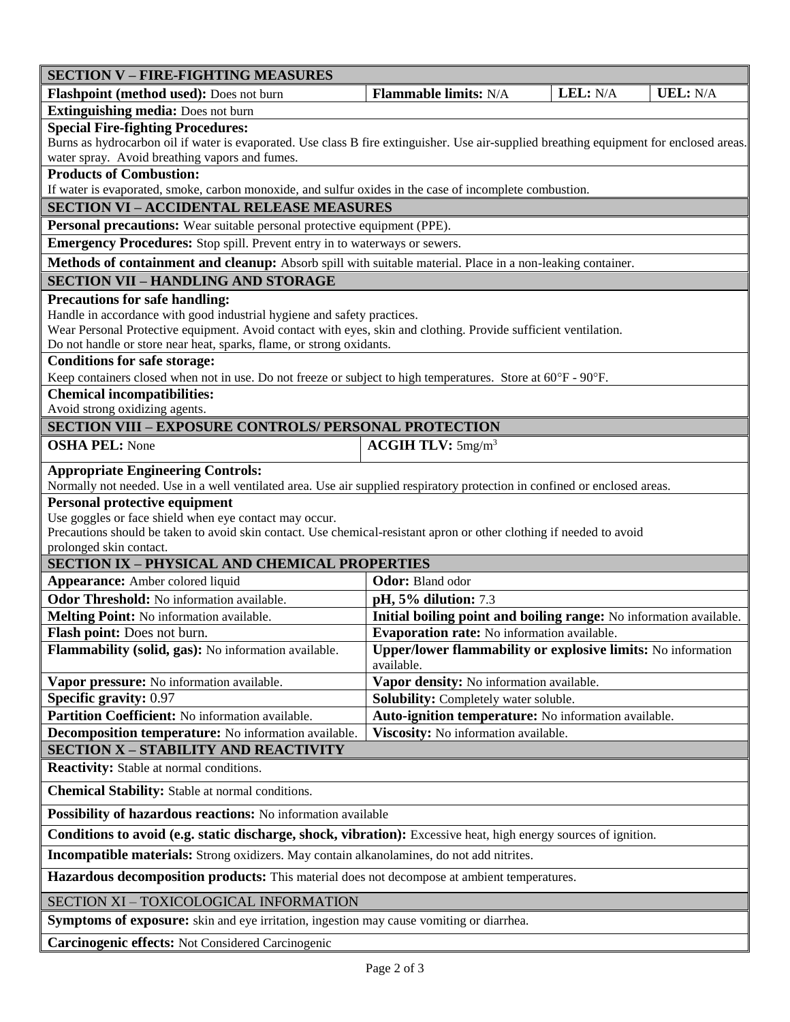| <b>SECTION V - FIRE-FIGHTING MEASURES</b>                                                                                                                                                                                                                                                                                                                                                                                                                                                                                                  |                                                                                   |          |                 |
|--------------------------------------------------------------------------------------------------------------------------------------------------------------------------------------------------------------------------------------------------------------------------------------------------------------------------------------------------------------------------------------------------------------------------------------------------------------------------------------------------------------------------------------------|-----------------------------------------------------------------------------------|----------|-----------------|
| Flashpoint (method used): Does not burn                                                                                                                                                                                                                                                                                                                                                                                                                                                                                                    | <b>Flammable limits: N/A</b>                                                      | LEL: N/A | <b>UEL: N/A</b> |
| <b>Extinguishing media:</b> Does not burn                                                                                                                                                                                                                                                                                                                                                                                                                                                                                                  |                                                                                   |          |                 |
| <b>Special Fire-fighting Procedures:</b><br>Burns as hydrocarbon oil if water is evaporated. Use class B fire extinguisher. Use air-supplied breathing equipment for enclosed areas.<br>water spray. Avoid breathing vapors and fumes.                                                                                                                                                                                                                                                                                                     |                                                                                   |          |                 |
| <b>Products of Combustion:</b>                                                                                                                                                                                                                                                                                                                                                                                                                                                                                                             |                                                                                   |          |                 |
| If water is evaporated, smoke, carbon monoxide, and sulfur oxides in the case of incomplete combustion.                                                                                                                                                                                                                                                                                                                                                                                                                                    |                                                                                   |          |                 |
| <b>SECTION VI - ACCIDENTAL RELEASE MEASURES</b>                                                                                                                                                                                                                                                                                                                                                                                                                                                                                            |                                                                                   |          |                 |
| Personal precautions: Wear suitable personal protective equipment (PPE).                                                                                                                                                                                                                                                                                                                                                                                                                                                                   |                                                                                   |          |                 |
| <b>Emergency Procedures:</b> Stop spill. Prevent entry in to waterways or sewers.                                                                                                                                                                                                                                                                                                                                                                                                                                                          |                                                                                   |          |                 |
| Methods of containment and cleanup: Absorb spill with suitable material. Place in a non-leaking container.                                                                                                                                                                                                                                                                                                                                                                                                                                 |                                                                                   |          |                 |
| <b>SECTION VII - HANDLING AND STORAGE</b>                                                                                                                                                                                                                                                                                                                                                                                                                                                                                                  |                                                                                   |          |                 |
| <b>Precautions for safe handling:</b><br>Handle in accordance with good industrial hygiene and safety practices.<br>Wear Personal Protective equipment. Avoid contact with eyes, skin and clothing. Provide sufficient ventilation.<br>Do not handle or store near heat, sparks, flame, or strong oxidants.<br><b>Conditions for safe storage:</b><br>Keep containers closed when not in use. Do not freeze or subject to high temperatures. Store at 60°F - 90°F.<br><b>Chemical incompatibilities:</b><br>Avoid strong oxidizing agents. |                                                                                   |          |                 |
| <b>SECTION VIII - EXPOSURE CONTROLS/ PERSONAL PROTECTION</b>                                                                                                                                                                                                                                                                                                                                                                                                                                                                               |                                                                                   |          |                 |
| <b>OSHA PEL: None</b>                                                                                                                                                                                                                                                                                                                                                                                                                                                                                                                      | <b>ACGIH TLV:</b> $5mg/m^3$                                                       |          |                 |
| <b>Appropriate Engineering Controls:</b><br>Normally not needed. Use in a well ventilated area. Use air supplied respiratory protection in confined or enclosed areas.<br><b>Personal protective equipment</b><br>Use goggles or face shield when eye contact may occur.<br>Precautions should be taken to avoid skin contact. Use chemical-resistant apron or other clothing if needed to avoid<br>prolonged skin contact.                                                                                                                |                                                                                   |          |                 |
| <b>SECTION IX - PHYSICAL AND CHEMICAL PROPERTIES</b>                                                                                                                                                                                                                                                                                                                                                                                                                                                                                       |                                                                                   |          |                 |
| Appearance: Amber colored liquid                                                                                                                                                                                                                                                                                                                                                                                                                                                                                                           | Odor: Bland odor                                                                  |          |                 |
| <b>Odor Threshold:</b> No information available.                                                                                                                                                                                                                                                                                                                                                                                                                                                                                           | pH, 5% dilution: 7.3                                                              |          |                 |
| Melting Point: No information available.                                                                                                                                                                                                                                                                                                                                                                                                                                                                                                   | Initial boiling point and boiling range: No information available.                |          |                 |
| Flash point: Does not burn.                                                                                                                                                                                                                                                                                                                                                                                                                                                                                                                | Evaporation rate: No information available.                                       |          |                 |
| Flammability (solid, gas): No information available.                                                                                                                                                                                                                                                                                                                                                                                                                                                                                       | <b>Upper/lower flammability or explosive limits:</b> No information<br>available. |          |                 |
| Vapor pressure: No information available.                                                                                                                                                                                                                                                                                                                                                                                                                                                                                                  | Vapor density: No information available.                                          |          |                 |
| Specific gravity: 0.97                                                                                                                                                                                                                                                                                                                                                                                                                                                                                                                     | <b>Solubility:</b> Completely water soluble.                                      |          |                 |
| Partition Coefficient: No information available.                                                                                                                                                                                                                                                                                                                                                                                                                                                                                           | Auto-ignition temperature: No information available.                              |          |                 |
| Decomposition temperature: No information available.                                                                                                                                                                                                                                                                                                                                                                                                                                                                                       | Viscosity: No information available.                                              |          |                 |
| <b>SECTION X - STABILITY AND REACTIVITY</b>                                                                                                                                                                                                                                                                                                                                                                                                                                                                                                |                                                                                   |          |                 |
| <b>Reactivity:</b> Stable at normal conditions.                                                                                                                                                                                                                                                                                                                                                                                                                                                                                            |                                                                                   |          |                 |
| <b>Chemical Stability:</b> Stable at normal conditions.                                                                                                                                                                                                                                                                                                                                                                                                                                                                                    |                                                                                   |          |                 |
| Possibility of hazardous reactions: No information available                                                                                                                                                                                                                                                                                                                                                                                                                                                                               |                                                                                   |          |                 |
| Conditions to avoid (e.g. static discharge, shock, vibration): Excessive heat, high energy sources of ignition.                                                                                                                                                                                                                                                                                                                                                                                                                            |                                                                                   |          |                 |
| Incompatible materials: Strong oxidizers. May contain alkanolamines, do not add nitrites.                                                                                                                                                                                                                                                                                                                                                                                                                                                  |                                                                                   |          |                 |
| Hazardous decomposition products: This material does not decompose at ambient temperatures.                                                                                                                                                                                                                                                                                                                                                                                                                                                |                                                                                   |          |                 |
| SECTION XI - TOXICOLOGICAL INFORMATION                                                                                                                                                                                                                                                                                                                                                                                                                                                                                                     |                                                                                   |          |                 |
| Symptoms of exposure: skin and eye irritation, ingestion may cause vomiting or diarrhea.                                                                                                                                                                                                                                                                                                                                                                                                                                                   |                                                                                   |          |                 |
| Carcinogenic effects: Not Considered Carcinogenic                                                                                                                                                                                                                                                                                                                                                                                                                                                                                          |                                                                                   |          |                 |